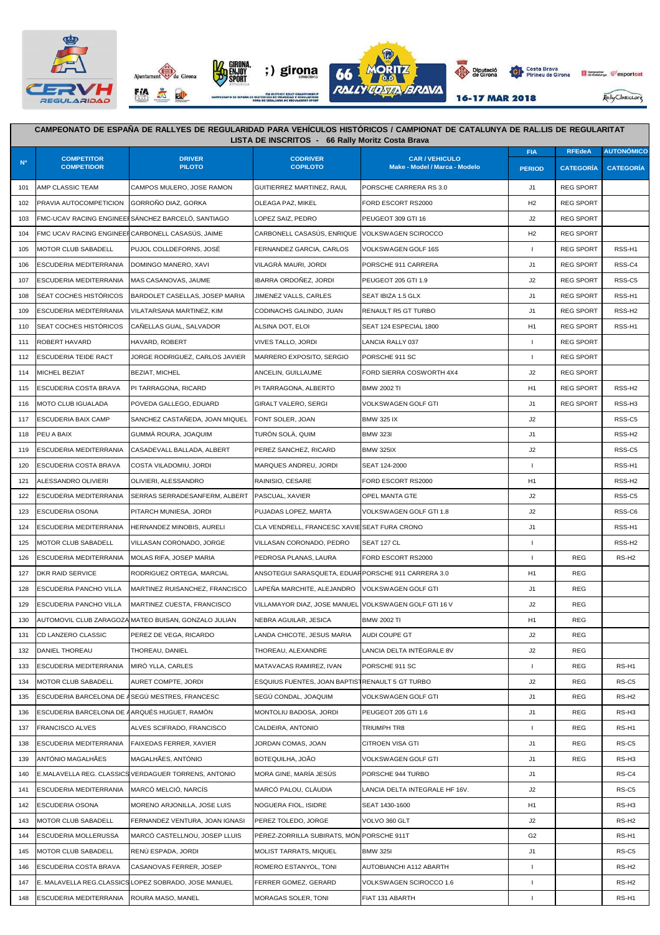







16-17 MAR 2018

Pally Classics.org

Generalitat esportcal

## **FIA REEdeA AUTONÓMICO PERIOD CATEGORÍA CATEGORÍA** 101 AMP CLASSIC TEAM CAMPOS MULERO, JOSE RAMON GUITIERREZ MARTINEZ, RAUL PORSCHE CARRERA RS 3.0 J1 REG SPORT 102 PRAVIA AUTOCOMPETICION GORROÑO DIAZ, GORKA QUEAGA PAZ, MIKEL FORD ESCORT RS2000 H2 REG SPORT OLEAGA PAZ, MIKEL 103 FMC-UCAV RACING ENGINEERSÁNCHEZ BARCELÓ, SANTIAGO LOPEZ SAIZ, PEDRO PEUGEOT 309 GTI 16 J2 REG SPORT DE REG SPORT 104 FMC UCAV RACING ENGINEERCARBONELL CASASÚS, JAIME CARBONELL CASASÚS, ENRIQUE VOLKSWAGEN SCIROCCO **FRACIOLATIST CASASÚS**, ENRIQUE VOLKSWAGEN SCIROCCO 105 MOTOR CLUB SABADELL PUJOL COLLDEFORNS, JOSÉ FERNANDEZ GARCIA, CARLOS VOLKSWAGEN GOLF 16S I REG SPORT RSS-H1 106 ESCUDERIA MEDITERRANIA DOMINGO MANERO, XAVI VILAGRÀ MAURI, JORDI PORSCHE 911 CARRERA J1 J1 REG SPORT RSS-C4 107 ESCUDERIA MEDITERRANIA MAS CASANOVAS, JAUME IBARRA ORDOÑEZ, JORDI PEUGEOT 205 GTI 1.9 J2 REG SPORT RSS-C5 108 SEAT COCHES HISTÓRICOS BARDOLET CASELLAS, JOSEP MARIA JIMENEZ VALLS, CARLES SEAT IBIZA 1.5 GLX J1 REG SPORT RSS-H1 109 ESCUDERIA MEDITERRANIA VILATARSANA MARTINEZ KIM CODINACHS GALINDO, JUAN RENAULT R5 GT TURBO JUAN LA SEG SPORT RSS-H2 110 SEAT COCHES HISTÓRICOS CAÑELLAS GUAL, SALVADOR ALSINA DOT, ELOI SEAT 124 ESPECIAL 1800 H1 REG SPORT RSS-H1 111 ROBERT HAVARD HAVARD, ROBERT VIVES TALLO, JORDI LANCIA RALLY 037 I REG SPORT 0 112 ESCUDERIA TEIDE RACT JORGE RODRIGUEZ, CARLOS JAVIER MARRERO EXPOSITO, SERGIO PORSCHE 911 SC I REG SPORT OR 114 MICHEL BEZIAT BEZIAT, MICHEL ANCELIN, GUILLAUME FORD SIERRA COSWORTH 4X4 J2 REG SPORT 0 115 ESCUDERIA COSTA BRAVA PI TARRAGONA, RICARD PI TARRAGONA, ALBERTO BMW 2002 TI PI H1 REG SPORT RSS-H2 116 MOTO CLUB IGUALADA POVEDA GALLEGO, EDUARD GIRALT VALERO, SERGI VOLKSWAGEN GOLF GTI J1 | REG SPORT | RSS-H3 117 ESCUDERIA BAIX CAMP SANCHEZ CASTAÑEDA, JOAN MIQUEL FONT SOLER, JOAN BMW 325 IX CHARLES CASTAÑEDA, DOAN MI 118 PEU A BAIX GUMMÀ ROURA, JOAQUIM TURÓN SOLÀ, QUIM BMW 323I J1 0 RSS-H2 119 ESCUDERIA MEDITERRANIA CASADEVALL BALLADA, ALBERT PEREZ SANCHEZ, RICARD BMW 325IX J2 1 J2 1 RSS-C5 RSS-C5 120 ESCUDERIA COSTA BRAVA COSTA VILADOMIU, JORDI MARQUES ANDREU, JORDI SEAT 124-2000 I DI LI II I DI RSS-H1 121 ALESSANDRO OLIVIERI OLIVIERI, ALESSANDRO RAINISIO, CESARE FORD ESCORT RS2000 H1 H1 H1 DKS-H2 122 ESCUDERIA MEDITERRANIA SERRAS SERRADESANFERM, ALBERT PASCUAL, XAVIER OPEL MANTA GTE OPEL MANTA GTE J2 | J2 | RSS-C5 123 ESCUDERIA OSONA PITARCH MUNIESA JORDI PUJADAS LOPEZ MARTA VOLKSWAGEN GOLF GTI 1.8 J2 0 RSS-C6 124 ESCUDERIA MEDITERRANIA HERNANDEZ MINOBIS, AURELI CLA VENDRELL, FRANCESC XAVIESEAT FURA CRONO J1 1 J1 1 1 RSS-H1 125 MOTOR CLUB SABADELL VILLASAN CORONADO, JORGE VILLASAN CORONADO, PEDRO SEAT 127 CL **I CHARLAS AN CORONADO A RSS-H2** 126 ESCUDERIA MEDITERRANIA MOLAS RIFA, JOSEP MARIA PEDROSA PLANAS, LAURA FORD ESCORT RS2000 I REG RS-H2 127 DKR RAID SERVICE RODRIGUEZ ORTEGA, MARCIAL ANSOTEGUI SARASQUETA, EDUAR PORSCHE 911 CARRERA 3.0 H1 REG 0 128 ESCUDERIA PANCHO VILLA MARTINEZ RUISANCHEZ, FRANCISCO LAPEÑA MARCHITE, ALEJANDRO VOLKSWAGEN GOLF GTI JUNIDA IN HATTE REG 129 ESCUDERIA PANCHO VILLA MARTINEZ CUESTA, FRANCISCO VILLAMAYOR DIAZ, JOSE MANUEL VOLKSWAGEN GOLF GTI 16 V J2 | REG 130 AUTOMOVIL CLUB ZARAGOZA MATEO BUISAN, GONZALO JULIAN NEBRA AGUILAR, JESICA BMW 2002 TI HT H1 REG 0 REG 0 REG 131 CD LANZERO CLASSIC PEREZ DE VEGA, RICARDO LANDA CHICOTE, JESUS MARIA AUDI COUPE GT **JULI AUDI COUPE GT** J2 REG 132 DANIEL THOREAU THOREAU, DANIEL THOREAU, ALEXANDRE LANCIA DELTA INTÉGRALE 8V J2 REG 133 ESCUDERIA MEDITERRANIA MIRÓ YLLA, CARLES MATAVACAS RAMIREZ, IVAN PORSCHE 911 SC I RS-H1 I REG RS-H1 134 MOTOR CLUB SABADELL AURET COMPTE, JORDI ESQUIUS FUENTES, JOAN BARTISTRENAULT 5 CT TURBO J2 REG RS-C5 RS-C5 135 ESCUDERIA BARCELONA DE ASEGÚ MESTRES, FRANCESC SEGÚ CONDAL, JOAQUIM VOLKSWAGEN GOLF GTI J1 I J1 REG RS-H2 136 ESCUDERIA BARCELONA DE ARQUÉS HUGUET, RAMÓN MONTOLIU BADOSA, JORDI PEUGEOT 205 GTI 1.6 J1 J1 REG RS-H3 137 FRANCISCO ALVES ALVES SCIFRADO, FRANCISCO CALDEIRA, ANTONIO TRIUMPH TR8 I REG RS-H1 138 ESCUDERIA MEDITERRANIA FAIXEDAS FERRER, XAVIER JORDAN COMAS, JOAN CITROEN VISA GTI JOST LA SEGILI RS-C5 RS-C5 139 ANTÓNIO MAGALHÃES MAGALHÃES, ANTÓNIO BOTEQUILHA, JOÃO VOLKSWAGEN GOLF GTI J1 REG RS-H3 140 E.MALAVELLA REG. CLASSICS VERDAGUER TORRENS, ANTONIO MORA GINE, MARÍA JESÚS PORSCHE 944 TURBO J1 0 RS-C4 141 ESCUDERIA MEDITERRANIA MARCÓ MELCIÓ, NARCÍS MARCÓ PALOU, CLÀUDIA LANCIA DELTA INTEGRALE HF 16V. I J2 | RS-C5 142 ESCUDERIA OSONA MORENO ARJONILLA, JOSE LUIS NOGUERA FIOL, ISIDRE SEAT 1430-1600 H1 0 RS-H3 143 MOTOR CLUB SABADELL FERNANDEZ VENTURA, JOAN IGNASI PEREZ TOLEDO, JORGE VOLVO 360 GLT 2000 POLYO 2000 ASS-H2 144 ESCUDERIA MOLLERUSSA MARCÓ CASTELLNOU, JOSEP LLUIS PÉREZ-ZORRILLA SUBIRATS, MÓNIPORSCHE 911T G2 CLOIS C2 RS-H1 145 MOTOR CLUB SABADELL RENÚ ESPADA, JORDI MOLIST TARRATS, MIQUEL BMW 325I J1 0 RS-C5 146 ESCUDERIA COSTA BRAVA CASANOVAS FERRER, JOSEP ROMERO ESTANYOL, TONI AUTOBIANCHI A112 ABARTH I QUESTRO DE RS-H2 **CAMPEONATO DE ESPAÑA DE RALLYES DE REGULARIDAD PARA VEHÍCULOS HISTÓRICOS / CAMPIONAT DE CATALUNYA DE RAL.LIS DE REGULARITAT LISTA DE INSCRITOS - 66 Rally Moritz Costa Brava Nº COMPETITOR COMPETIDOR DRIVER PILOTO CODRIVER COPILOTO CAR / VEHICULO Make - Model / Marca - Modelo**

147 E. MALAVELLA REG.CLASSICS LOPEZ SOBRADO, JOSE MANUEL FERRER GOMEZ, GERARD VOLKSWAGEN SCIROCCO 1.6 I 0 RS-H2 148 ESCUDERIA MEDITERRANIA ROURA MASO, MANEL MORAGAS SOLER, TONI FIAT 131 ABARTH I DI DI 1 RS-H1 1 RS-H1